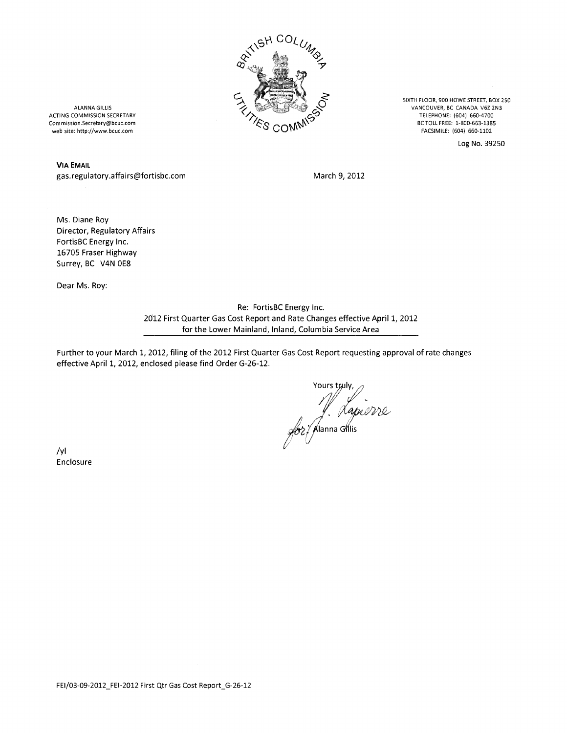

SIXTH FLOOR, 900 HOWE STREET, BOX 2S0 VANCOUVER, BC CANAOA V622N3 TElEPHONE: (604) 660-4700 BC TOLL FREE: 1-BOO-663-138S FACSIMILE: (604) 660-1102

Log No. 39250

ALANNA GILLIS ACTING COMMISSION SECRETARY Commission.Secretary@bcuc.com web site: http://www.bcuc.com

VIA EMAIL gas.regulatory.affairs@fortisbc.com

March 9, 2012

Ms. Diane Roy Director, Regulatory Affairs FortisBC Energy Inc. 16705 Fraser Highway Surrey, BC V4N OE8

Dear Ms. Roy:

Re: FortisBC Energy Inc. *2cJ12* First Quarter Gas Cost Report and Rate Changes effective April 1, 2012 for the Lower Mainland, Inland, Columbia Service Area

Further to your March 1, 2012, filing of the 2012 First Quarter Gas Cost Report requesting approval of rate changes effective April 1, 2012, enclosed please find Order G-26-12.

J. Lapierre

*Iyl* Enclosure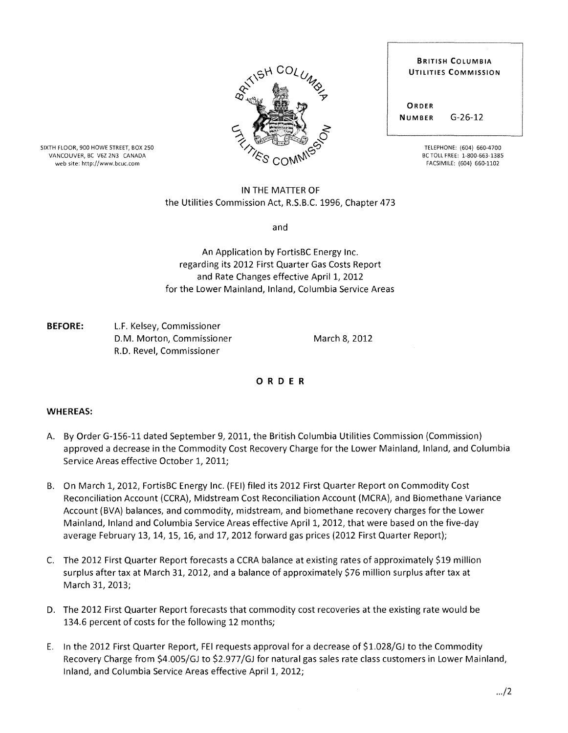

SIXTH FLOOR, 900 HOWE STREET, BOX 250 VANCOUVER, BC V6Z 2N3 CANADA web site: http://www.bcuc.com

## IN THE MATTER OF the Utilities Commission Act, R.S.B.C. 1996, Chapter 473

and

An Application by FortisBC Energy Inc. regarding its 2012 First Quarter Gas Costs Report and Rate Changes effective April 1, 2012 for the Lower Mainland, Inland, Columbia Service Areas

**BEFORE:** L.F. Kelsey, Commissioner D.M. Morton, Commissioner R.D. Revel, Commissioner

March 8, 2012

## o R D E R

## **WHEREAS:**

- A. By Order G-156-11 dated September 9,2011, the British Columbia Utilities Commission (Commission) approved a decrease in the Commodity Cost Recovery Charge for the Lower Mainland, Inland, and Columbia Service Areas effective October 1, 2011;
- B. On March 1,2012, FortisBC Energy Inc. (FEI) filed its 2012 First Quarter Report on Commodity Cost Reconciliation Account (CCRA), Midstream Cost Reconciliation Account (MCRA), and Biomethane Variance Account (BVA) balances, and commodity, midstream, and biomethane recovery charges for the Lower Mainland, Inland and Columbia Service Areas effective April 1, 2012, that were based on the five-day average February 13,14,15,16, and 17,2012 forward gas prices (2012 First Quarter Report);
- C. The 2012 First Quarter Report forecasts a CCRA balance at existing rates of approximately \$19 million surplus after tax at March 31, 2012, and a balance of approximately \$76 million surplus after tax at March 31, 2013;
- D. The 2012 First Quarter Report forecasts that commodity cost recoveries at the existing rate would be 134.6 percent of costs for the following 12 months;
- E. In the 2012 First Quarter Report, FEI requests approval for a decrease of \$1.028/GJ to the Commodity Recovery Charge from \$4.005/GJ to \$2.977/GJ for natural gas sales rate class customers in Lower Mainland, Inland, and Columbia Service Areas effective April 1, 2012;

ORDER NUMBER G-26-12

> TELEPHONE: (604) 660-4700 BC TOLL FREE: 1-800-663-1385 FACSIMILE: (604) 660-1102